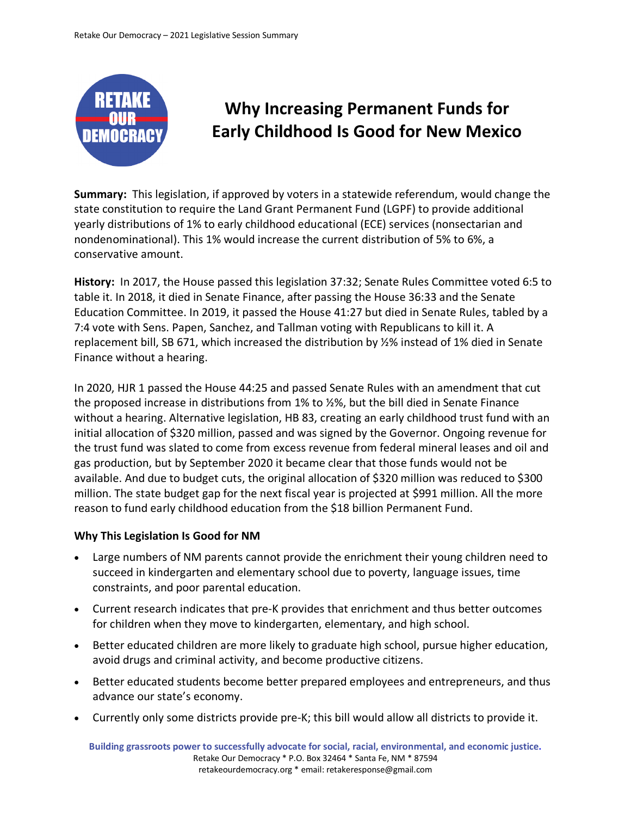

## **Why Increasing Permanent Funds for Early Childhood Is Good for New Mexico**

**Summary:** This legislation, if approved by voters in a statewide referendum, would change the state constitution to require the Land Grant Permanent Fund (LGPF) to provide additional yearly distributions of 1% to early childhood educational (ECE) services (nonsectarian and nondenominational). This 1% would increase the current distribution of 5% to 6%, a conservative amount.

**History:** In 2017, the House passed this legislation 37:32; Senate Rules Committee voted 6:5 to table it. In 2018, it died in Senate Finance, after passing the House 36:33 and the Senate Education Committee. In 2019, it passed the House 41:27 but died in Senate Rules, tabled by a 7:4 vote with Sens. Papen, Sanchez, and Tallman voting with Republicans to kill it. A replacement bill, SB 671, which increased the distribution by ½% instead of 1% died in Senate Finance without a hearing.

In 2020, HJR 1 passed the House 44:25 and passed Senate Rules with an amendment that cut the proposed increase in distributions from 1% to ½%, but the bill died in Senate Finance without a hearing. Alternative legislation, HB 83, creating an early childhood trust fund with an initial allocation of \$320 million, passed and was signed by the Governor. Ongoing revenue for the trust fund was slated to come from excess revenue from federal mineral leases and oil and gas production, but by September 2020 it became clear that those funds would not be available. And due to budget cuts, the original allocation of \$320 million was reduced to \$300 million. The state budget gap for the next fiscal year is projected at \$991 million. All the more reason to fund early childhood education from the \$18 billion Permanent Fund.

## **Why This Legislation Is Good for NM**

- Large numbers of NM parents cannot provide the enrichment their young children need to succeed in kindergarten and elementary school due to poverty, language issues, time constraints, and poor parental education.
- Current research indicates that pre-K provides that enrichment and thus better outcomes for children when they move to kindergarten, elementary, and high school.
- Better educated children are more likely to graduate high school, pursue higher education, avoid drugs and criminal activity, and become productive citizens.
- Better educated students become better prepared employees and entrepreneurs, and thus advance our state's economy.
- Currently only some districts provide pre-K; this bill would allow all districts to provide it.